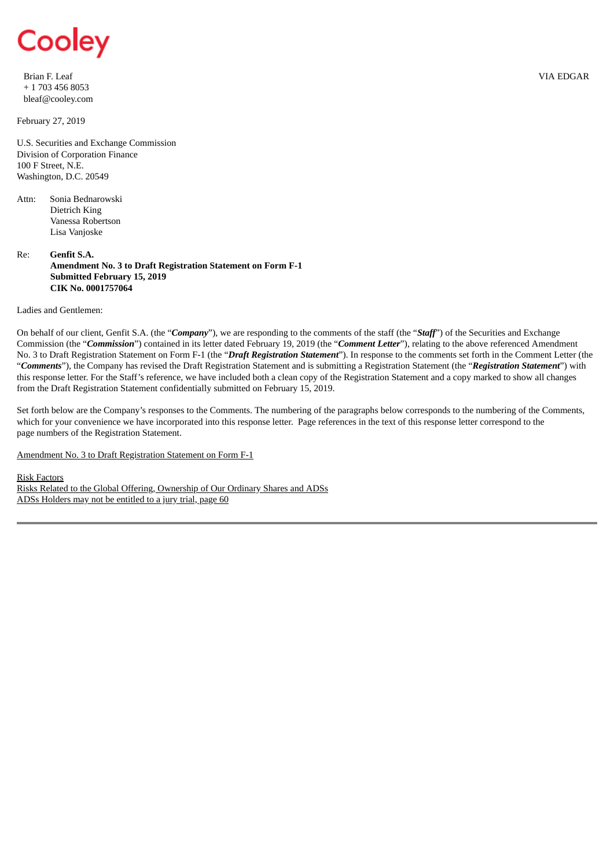

Brian F. Leaf + 1 703 456 8053 bleaf@cooley.com

February 27, 2019

U.S. Securities and Exchange Commission Division of Corporation Finance 100 F Street, N.E. Washington, D.C. 20549

Attn: Sonia Bednarowski Dietrich King Vanessa Robertson Lisa Vanjoske

Re: **Genfit S.A. Amendment No. 3 to Draft Registration Statement on Form F-1 Submitted February 15, 2019 CIK No. 0001757064**

Ladies and Gentlemen:

On behalf of our client, Genfit S.A. (the "*Company*"), we are responding to the comments of the staff (the "*Staff*") of the Securities and Exchange Commission (the "*Commission*") contained in its letter dated February 19, 2019 (the "*Comment Letter*"), relating to the above referenced Amendment No. 3 to Draft Registration Statement on Form F-1 (the "*Draft Registration Statement*"). In response to the comments set forth in the Comment Letter (the "*Comments*"), the Company has revised the Draft Registration Statement and is submitting a Registration Statement (the "*Registration Statement*") with this response letter. For the Staff's reference, we have included both a clean copy of the Registration Statement and a copy marked to show all changes from the Draft Registration Statement confidentially submitted on February 15, 2019.

Set forth below are the Company's responses to the Comments. The numbering of the paragraphs below corresponds to the numbering of the Comments, which for your convenience we have incorporated into this response letter. Page references in the text of this response letter correspond to the page numbers of the Registration Statement.

Amendment No. 3 to Draft Registration Statement on Form F-1

Risk Factors

Risks Related to the Global Offering, Ownership of Our Ordinary Shares and ADSs ADSs Holders may not be entitled to a jury trial, page 60

VIA EDGAR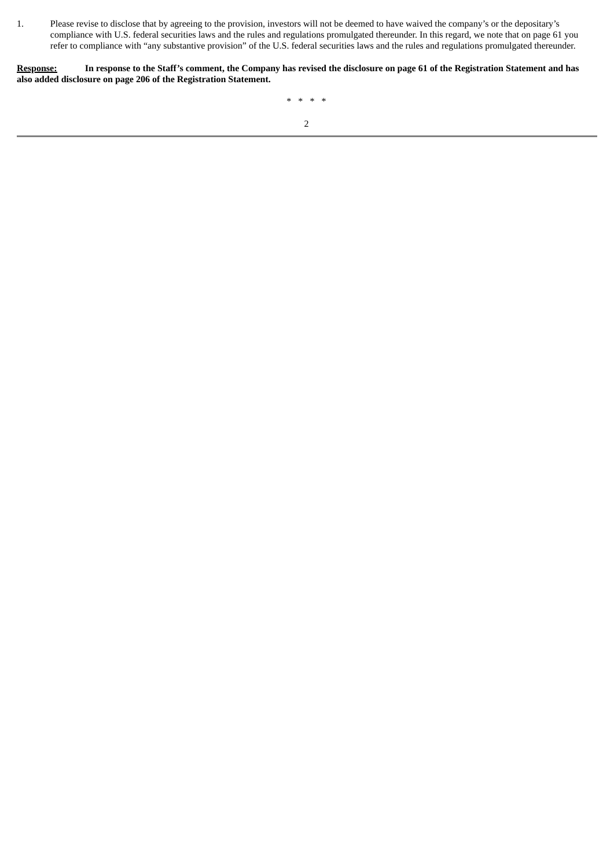1. Please revise to disclose that by agreeing to the provision, investors will not be deemed to have waived the company's or the depositary's compliance with U.S. federal securities laws and the rules and regulations promulgated thereunder. In this regard, we note that on page 61 you refer to compliance with "any substantive provision" of the U.S. federal securities laws and the rules and regulations promulgated thereunder.

Response: In response to the Staff's comment, the Company has revised the disclosure on page 61 of the Registration Statement and has **also added disclosure on page 206 of the Registration Statement.**

\* \* \* \*